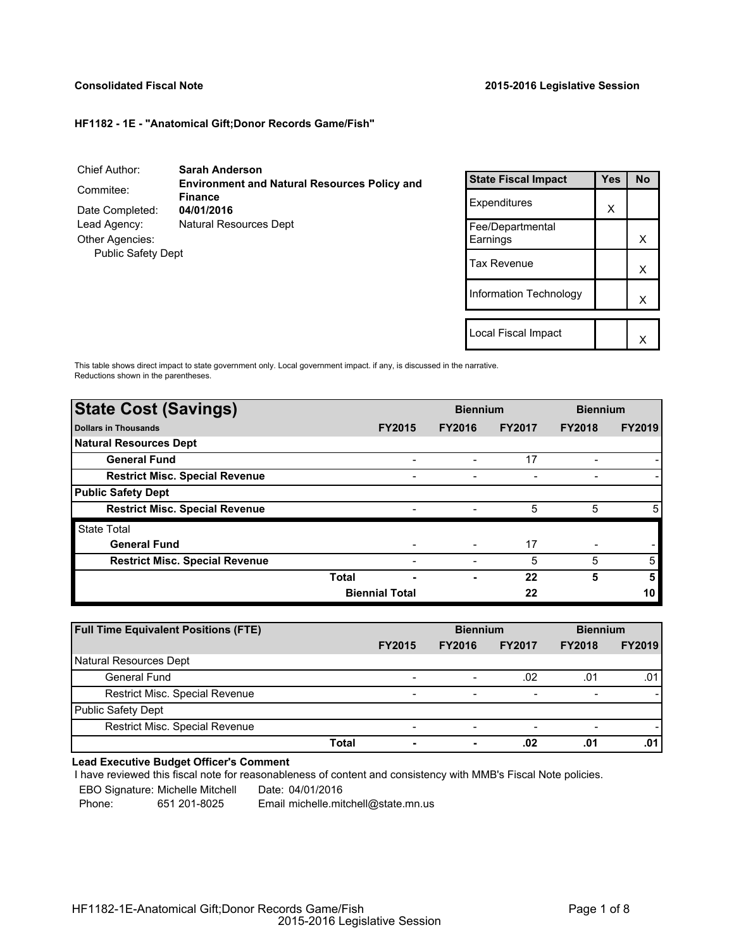# **Consolidated Fiscal Note 2015-2016 Legislative Session**

# **HF1182 - 1E - "Anatomical Gift;Donor Records Game/Fish"**

| Chief Author:                                       | <b>Sarah Anderson</b>                                                 |
|-----------------------------------------------------|-----------------------------------------------------------------------|
| Commitee:                                           | <b>Environment and Natural Resources Policy and</b><br><b>Finance</b> |
| Date Completed:                                     | 04/01/2016                                                            |
| Lead Agency:                                        | Natural Resources Dept                                                |
| <b>Other Agencies:</b><br><b>Public Safety Dept</b> |                                                                       |

| <b>State Fiscal Impact</b>   | Yes | No |
|------------------------------|-----|----|
| Expenditures                 | X   |    |
| Fee/Departmental<br>Earnings |     | x  |
| Tax Revenue                  |     | x  |
| Information Technology       |     | x  |
|                              |     |    |
| Local Fiscal Impact          |     |    |

This table shows direct impact to state government only. Local government impact. if any, is discussed in the narrative. Reductions shown in the parentheses.

| <b>State Cost (Savings)</b>           |              | <b>Biennium</b>          |               |               | <b>Biennium</b> |               |
|---------------------------------------|--------------|--------------------------|---------------|---------------|-----------------|---------------|
| <b>Dollars in Thousands</b>           |              | <b>FY2015</b>            | <b>FY2016</b> | <b>FY2017</b> | <b>FY2018</b>   | <b>FY2019</b> |
| <b>Natural Resources Dept</b>         |              |                          |               |               |                 |               |
| <b>General Fund</b>                   |              |                          |               | 17            |                 |               |
| <b>Restrict Misc. Special Revenue</b> |              | -                        | -             |               | -               |               |
| <b>Public Safety Dept</b>             |              |                          |               |               |                 |               |
| <b>Restrict Misc. Special Revenue</b> |              | $\overline{\phantom{0}}$ |               | 5             | 5               | 5             |
| <b>State Total</b>                    |              |                          |               |               |                 |               |
| <b>General Fund</b>                   |              |                          |               | 17            |                 |               |
| <b>Restrict Misc. Special Revenue</b> |              |                          |               | 5             | 5               | 5             |
|                                       | <b>Total</b> | -                        | -             | 22            | 5               | 5             |
|                                       |              | <b>Biennial Total</b>    |               | 22            |                 | 10            |
|                                       |              |                          |               |               |                 |               |

| <b>Full Time Equivalent Positions (FTE)</b> |                          | <b>Biennium</b>          |                          | <b>Biennium</b>          |               |
|---------------------------------------------|--------------------------|--------------------------|--------------------------|--------------------------|---------------|
|                                             | <b>FY2015</b>            | <b>FY2016</b>            | <b>FY2017</b>            | <b>FY2018</b>            | <b>FY2019</b> |
| Natural Resources Dept                      |                          |                          |                          |                          |               |
| <b>General Fund</b>                         | $\overline{\phantom{a}}$ | -                        | .02                      | .01                      | .01           |
| Restrict Misc. Special Revenue              | $\overline{\phantom{a}}$ | $\overline{\phantom{0}}$ | $\overline{\phantom{a}}$ | $\overline{\phantom{0}}$ |               |
| <b>Public Safety Dept</b>                   |                          |                          |                          |                          |               |
| Restrict Misc. Special Revenue              | $\overline{\phantom{a}}$ | -                        | $\overline{\phantom{0}}$ |                          |               |
| Total                                       | $\overline{\phantom{a}}$ | ۰                        | .02                      | .01                      | .01           |

# **Lead Executive Budget Officer's Comment**

I have reviewed this fiscal note for reasonableness of content and consistency with MMB's Fiscal Note policies.

EBO Signature: Michelle Mitchell Date: 04/01/2016

Phone: 651 201-8025 Email michelle.mitchell@state.mn.us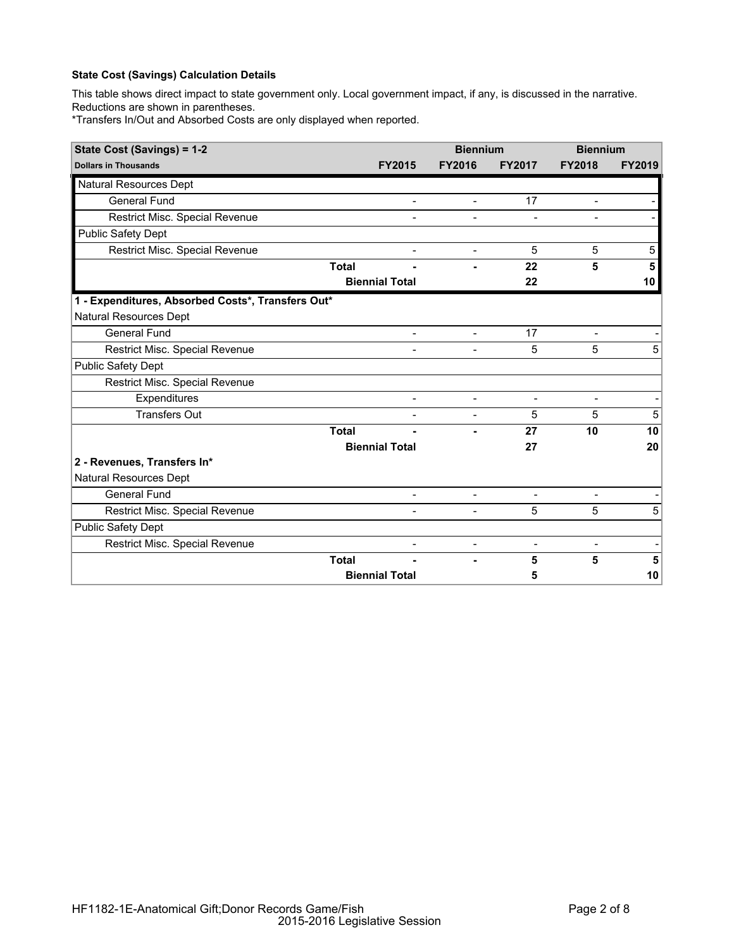# **State Cost (Savings) Calculation Details**

This table shows direct impact to state government only. Local government impact, if any, is discussed in the narrative. Reductions are shown in parentheses.

\*Transfers In/Out and Absorbed Costs are only displayed when reported.

| State Cost (Savings) = 1-2                        |              |                          | <b>Biennium</b>          |                   | <b>Biennium</b>          |                |
|---------------------------------------------------|--------------|--------------------------|--------------------------|-------------------|--------------------------|----------------|
| <b>Dollars in Thousands</b>                       |              | <b>FY2015</b>            | <b>FY2016</b>            | <b>FY2017</b>     | <b>FY2018</b>            | <b>FY2019</b>  |
| <b>Natural Resources Dept</b>                     |              |                          |                          |                   |                          |                |
| <b>General Fund</b>                               |              |                          | $\overline{a}$           | 17                | $\overline{a}$           |                |
| Restrict Misc. Special Revenue                    |              |                          |                          |                   |                          |                |
| <b>Public Safety Dept</b>                         |              |                          |                          |                   |                          |                |
| Restrict Misc. Special Revenue                    |              | $\overline{\phantom{a}}$ | $\blacksquare$           | 5                 | 5                        | 5 <sup>5</sup> |
|                                                   | <b>Total</b> |                          |                          | 22                | 5                        | 5              |
|                                                   |              | <b>Biennial Total</b>    |                          | 22                |                          | 10             |
| 1 - Expenditures, Absorbed Costs*, Transfers Out* |              |                          |                          |                   |                          |                |
| Natural Resources Dept                            |              |                          |                          |                   |                          |                |
| <b>General Fund</b>                               |              | $\overline{\phantom{a}}$ | $\blacksquare$           | 17                | $\overline{\phantom{a}}$ |                |
| Restrict Misc. Special Revenue                    |              |                          |                          | 5                 | 5                        | 5              |
| <b>Public Safety Dept</b>                         |              |                          |                          |                   |                          |                |
| Restrict Misc. Special Revenue                    |              |                          |                          |                   |                          |                |
| Expenditures                                      |              | $\overline{a}$           | $\blacksquare$           | $\qquad \qquad -$ | $\overline{\phantom{a}}$ |                |
| <b>Transfers Out</b>                              |              | $\overline{\phantom{a}}$ | $\overline{\phantom{a}}$ | 5                 | 5                        | 5              |
|                                                   | <b>Total</b> |                          |                          | 27                | 10                       | 10             |
|                                                   |              | <b>Biennial Total</b>    |                          | 27                |                          | 20             |
| 2 - Revenues, Transfers In*                       |              |                          |                          |                   |                          |                |
| Natural Resources Dept                            |              |                          |                          |                   |                          |                |
| <b>General Fund</b>                               |              |                          | $\overline{\phantom{a}}$ | $\blacksquare$    | $\overline{a}$           |                |
| Restrict Misc. Special Revenue                    |              | $\overline{a}$           | $\overline{a}$           | 5                 | 5                        | 5              |
| <b>Public Safety Dept</b>                         |              |                          |                          |                   |                          |                |
| Restrict Misc. Special Revenue                    |              |                          | $\overline{a}$           | $\overline{a}$    | $\overline{\phantom{0}}$ |                |
|                                                   | <b>Total</b> |                          | ۳                        | 5                 | 5                        | 5              |
|                                                   |              | <b>Biennial Total</b>    |                          | 5                 |                          | 10             |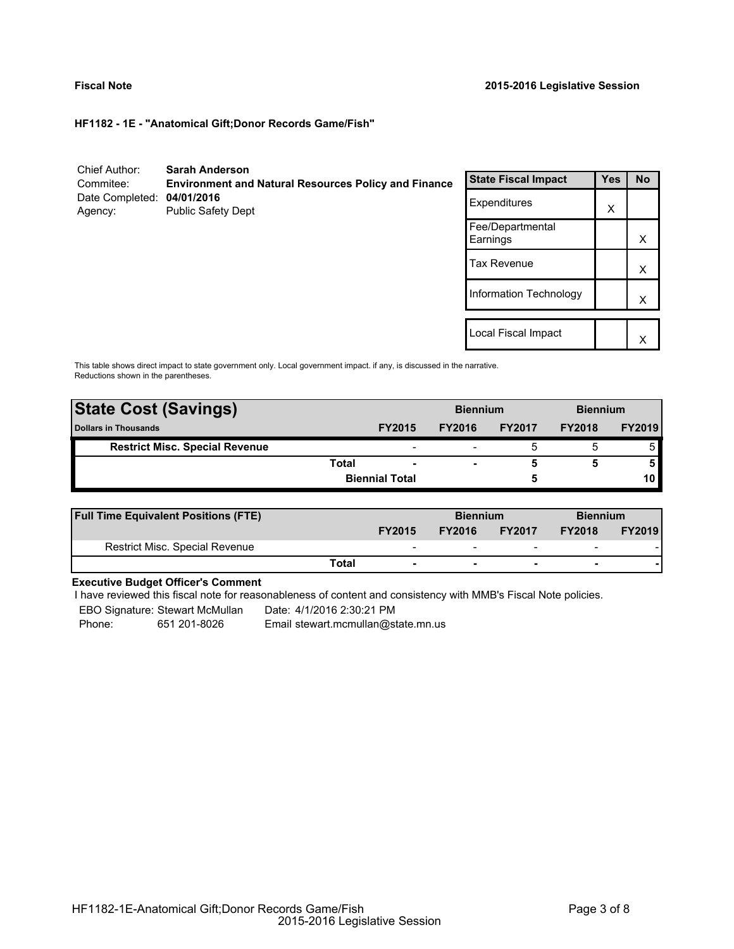**HF1182 - 1E - "Anatomical Gift;Donor Records Game/Fish"**

| Chief Author:<br>Commitee: | <b>Sarah Anderson</b><br><b>Environment and Natural Resources Policy and Finance</b> | <b>State Fiscal Impact</b>   | <b>Yes</b> | <b>No</b> |
|----------------------------|--------------------------------------------------------------------------------------|------------------------------|------------|-----------|
| Date Completed:<br>Agency: | 04/01/2016<br><b>Public Safety Dept</b>                                              | Expenditures                 | X          |           |
|                            |                                                                                      | Fee/Departmental<br>Earnings |            | X         |
|                            |                                                                                      | <b>Tax Revenue</b>           |            | X         |
|                            |                                                                                      | Information Technology       |            | Х         |
|                            |                                                                                      |                              |            |           |
|                            |                                                                                      | Local Fiscal Impact          |            | Х         |

This table shows direct impact to state government only. Local government impact. if any, is discussed in the narrative. Reductions shown in the parentheses.

| <b>State Cost (Savings)</b>           |       |                          | <b>Biennium</b> |               | <b>Biennium</b> |               |
|---------------------------------------|-------|--------------------------|-----------------|---------------|-----------------|---------------|
| <b>Dollars in Thousands</b>           |       | <b>FY2015</b>            | <b>FY2016</b>   | <b>FY2017</b> | <b>FY2018</b>   | <b>FY2019</b> |
| <b>Restrict Misc. Special Revenue</b> |       | $\overline{\phantom{a}}$ |                 | đ             |                 |               |
|                                       | Total | $\overline{\phantom{a}}$ | -               |               |                 |               |
|                                       |       | <b>Biennial Total</b>    |                 |               |                 |               |
|                                       |       |                          |                 |               |                 |               |

| <b>Full Time Equivalent Positions (FTE)</b> |       |               | <b>Biennium</b> |                          | <b>Biennium</b>          |               |  |
|---------------------------------------------|-------|---------------|-----------------|--------------------------|--------------------------|---------------|--|
|                                             |       | <b>FY2015</b> | <b>FY2016</b>   | <b>FY2017</b>            | <b>FY2018</b>            | <b>FY2019</b> |  |
| <b>Restrict Misc. Special Revenue</b>       |       | -             |                 | $\overline{\phantom{0}}$ | $\overline{\phantom{a}}$ |               |  |
|                                             | Total |               | -               | $\overline{\phantom{a}}$ | $\overline{\phantom{0}}$ |               |  |

# **Executive Budget Officer's Comment**

I have reviewed this fiscal note for reasonableness of content and consistency with MMB's Fiscal Note policies.

EBO Signature: Stewart McMullan ---- Date: 4/1/2016 2:30:21 PM

Phone: 651 201-8026 Email stewart.mcmullan@state.mn.us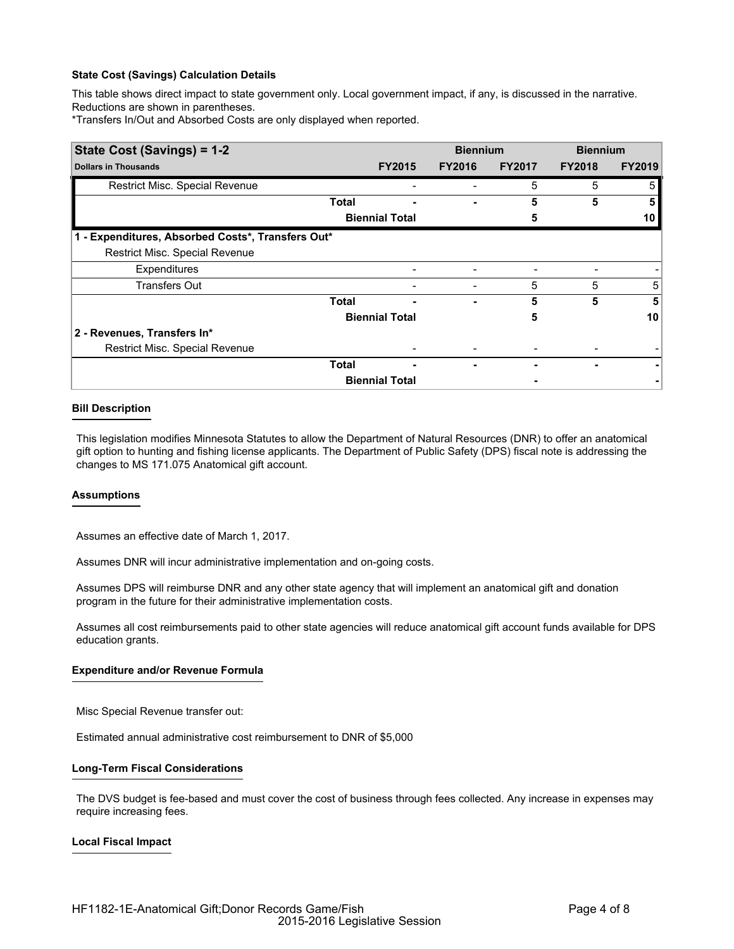# **State Cost (Savings) Calculation Details**

This table shows direct impact to state government only. Local government impact, if any, is discussed in the narrative. Reductions are shown in parentheses.

\*Transfers In/Out and Absorbed Costs are only displayed when reported.

| State Cost (Savings) = 1-2                        |              |                       | <b>Biennium</b> |               | <b>Biennium</b> |               |  |
|---------------------------------------------------|--------------|-----------------------|-----------------|---------------|-----------------|---------------|--|
| <b>Dollars in Thousands</b>                       |              | <b>FY2015</b>         | <b>FY2016</b>   | <b>FY2017</b> | <b>FY2018</b>   | <b>FY2019</b> |  |
| Restrict Misc. Special Revenue                    |              |                       |                 | 5             | 5               | 5             |  |
|                                                   | Total        |                       |                 | 5             | 5               |               |  |
|                                                   |              | <b>Biennial Total</b> |                 | 5             |                 | 10            |  |
| 1 - Expenditures, Absorbed Costs*, Transfers Out* |              |                       |                 |               |                 |               |  |
| Restrict Misc. Special Revenue                    |              |                       |                 |               |                 |               |  |
| Expenditures                                      |              |                       |                 |               |                 |               |  |
| <b>Transfers Out</b>                              |              |                       |                 | 5             | 5               | 5             |  |
|                                                   | <b>Total</b> |                       | ۰               | 5             | 5               | 5             |  |
|                                                   |              | <b>Biennial Total</b> |                 | 5             |                 | 10            |  |
| 2 - Revenues, Transfers In*                       |              |                       |                 |               |                 |               |  |
| Restrict Misc. Special Revenue                    |              |                       |                 |               |                 |               |  |
|                                                   | <b>Total</b> |                       |                 |               |                 |               |  |
|                                                   |              | <b>Biennial Total</b> |                 |               |                 |               |  |

# **Bill Description**

This legislation modifies Minnesota Statutes to allow the Department of Natural Resources (DNR) to offer an anatomical gift option to hunting and fishing license applicants. The Department of Public Safety (DPS) fiscal note is addressing the changes to MS 171.075 Anatomical gift account.

## **Assumptions**

Assumes an effective date of March 1, 2017.

Assumes DNR will incur administrative implementation and on-going costs.

Assumes DPS will reimburse DNR and any other state agency that will implement an anatomical gift and donation program in the future for their administrative implementation costs.

Assumes all cost reimbursements paid to other state agencies will reduce anatomical gift account funds available for DPS education grants.

## **Expenditure and/or Revenue Formula**

Misc Special Revenue transfer out:

Estimated annual administrative cost reimbursement to DNR of \$5,000

## **Long-Term Fiscal Considerations**

The DVS budget is fee-based and must cover the cost of business through fees collected. Any increase in expenses may require increasing fees.

# **Local Fiscal Impact**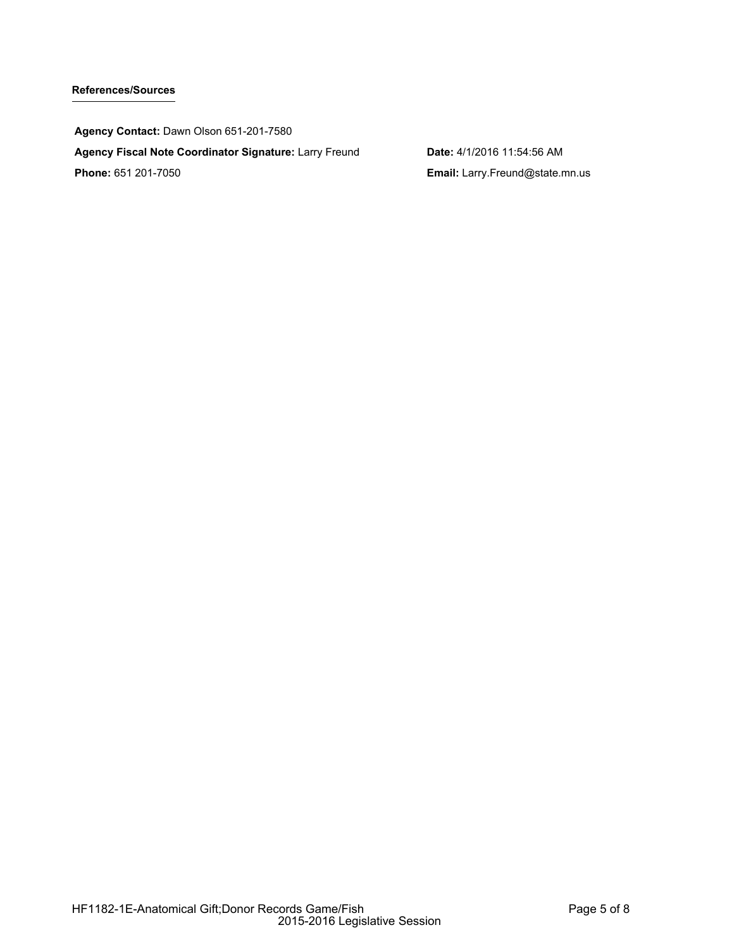# **References/Sources**

**Agency Contact:** Dawn Olson 651-201-7580 **Agency Fiscal Note Coordinator Signature:** Larry Freund **Date:** 4/1/2016 11:54:56 AM **Phone:** 651 201-7050 **Email:** Larry.Freund@state.mn.us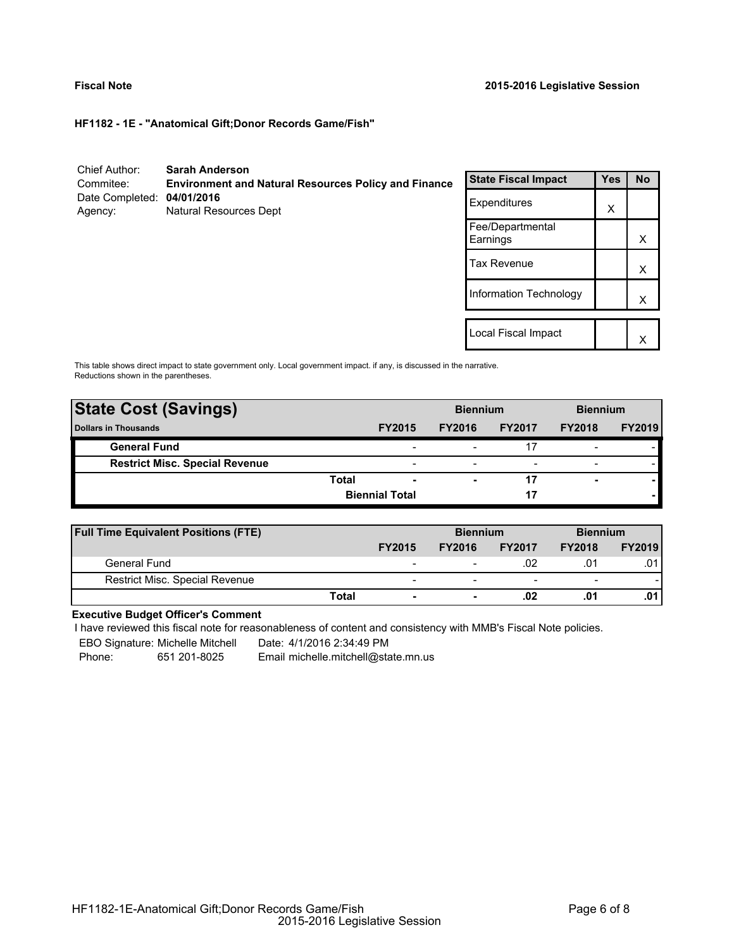**HF1182 - 1E - "Anatomical Gift;Donor Records Game/Fish"**

| Chief Author:<br>Commitee:            | <b>Sarah Anderson</b><br><b>Environment and Natural Resources Policy and Finance</b> | <b>State Fiscal Impact</b>   | <b>Yes</b> | <b>No</b> |
|---------------------------------------|--------------------------------------------------------------------------------------|------------------------------|------------|-----------|
| Date Completed: 04/01/2016<br>Agency: | <b>Natural Resources Dept</b>                                                        | Expenditures                 | X          |           |
|                                       |                                                                                      | Fee/Departmental<br>Earnings |            | X         |
|                                       |                                                                                      | <b>Tax Revenue</b>           |            | X         |
|                                       |                                                                                      | Information Technology       |            | X         |
|                                       |                                                                                      | Local Fiscal Impact          |            |           |
|                                       |                                                                                      |                              |            | Χ         |

This table shows direct impact to state government only. Local government impact. if any, is discussed in the narrative. Reductions shown in the parentheses.

| <b>State Cost (Savings)</b>           |       |                          | <b>Biennium</b> |                          | <b>Biennium</b>          |               |
|---------------------------------------|-------|--------------------------|-----------------|--------------------------|--------------------------|---------------|
| <b>Dollars in Thousands</b>           |       | <b>FY2015</b>            | <b>FY2016</b>   | <b>FY2017</b>            | <b>FY2018</b>            | <b>FY2019</b> |
| <b>General Fund</b>                   |       | $\overline{\phantom{0}}$ |                 |                          | $\overline{\phantom{a}}$ |               |
| <b>Restrict Misc. Special Revenue</b> |       | $\overline{\phantom{0}}$ |                 | $\overline{\phantom{0}}$ | $\overline{\phantom{a}}$ |               |
|                                       | Total | $\overline{\phantom{0}}$ |                 |                          |                          |               |
|                                       |       | <b>Biennial Total</b>    |                 | 17                       |                          |               |

| <b>Full Time Equivalent Positions (FTE)</b> |                          | <b>Biennium</b> |                          | <b>Biennium</b>          |               |
|---------------------------------------------|--------------------------|-----------------|--------------------------|--------------------------|---------------|
|                                             | <b>FY2015</b>            | <b>FY2016</b>   | <b>FY2017</b>            | <b>FY2018</b>            | <b>FY2019</b> |
| General Fund                                | -                        | -               | .02                      | .0 <sup>1</sup>          | .01           |
| <b>Restrict Misc. Special Revenue</b>       | $\overline{\phantom{0}}$ | -               | $\overline{\phantom{0}}$ | $\overline{\phantom{a}}$ |               |
| Total                                       | ۰                        |                 | .02                      | .01                      |               |

## **Executive Budget Officer's Comment**

-

I have reviewed this fiscal note for reasonableness of content and consistency with MMB's Fiscal Note policies.

EBO Signature: Michelle Mitchell Date: 4/1/2016 2:34:49 PM

Phone: 651 201-8025 Email michelle.mitchell@state.mn.us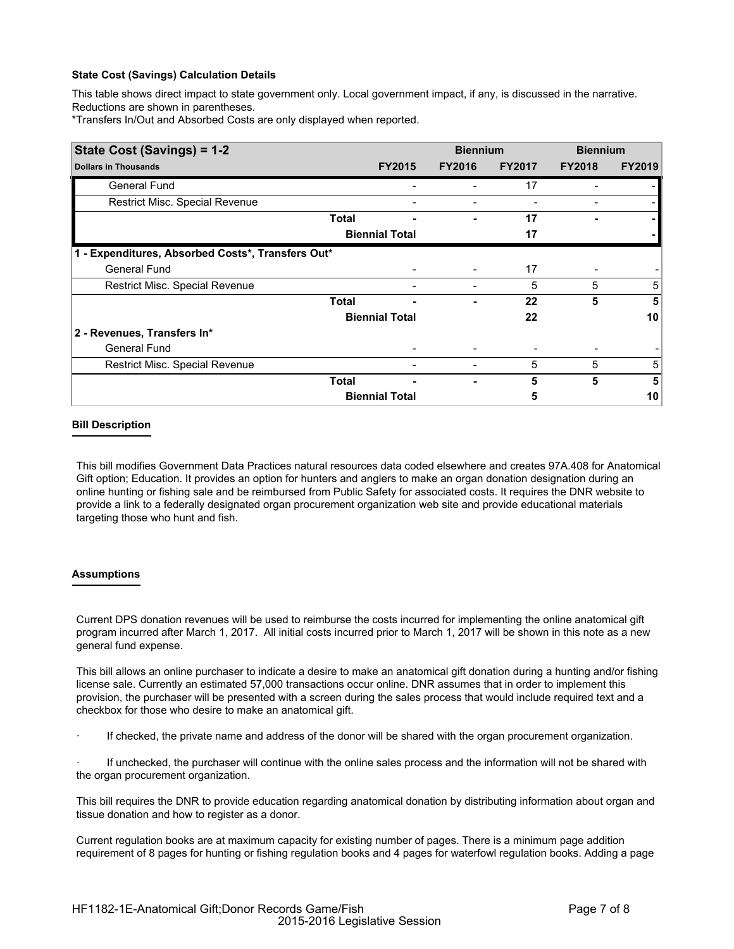# **State Cost (Savings) Calculation Details**

This table shows direct impact to state government only. Local government impact, if any, is discussed in the narrative. Reductions are shown in parentheses.

\*Transfers In/Out and Absorbed Costs are only displayed when reported.

| State Cost (Savings) = 1-2                        |                       |                       | <b>Biennium</b> |               | <b>Biennium</b> |               |
|---------------------------------------------------|-----------------------|-----------------------|-----------------|---------------|-----------------|---------------|
| <b>Dollars in Thousands</b>                       |                       | <b>FY2015</b>         | <b>FY2016</b>   | <b>FY2017</b> | <b>FY2018</b>   | <b>FY2019</b> |
| General Fund                                      |                       |                       | Ξ.              | 17            |                 |               |
| Restrict Misc. Special Revenue                    |                       |                       |                 |               |                 |               |
|                                                   | <b>Total</b>          | ۰                     |                 | 17            |                 |               |
|                                                   |                       | <b>Biennial Total</b> |                 | 17            |                 |               |
| 1 - Expenditures, Absorbed Costs*, Transfers Out* |                       |                       |                 |               |                 |               |
| <b>General Fund</b>                               |                       |                       |                 | 17            |                 |               |
| Restrict Misc. Special Revenue                    |                       |                       |                 | 5             | 5               | 5             |
|                                                   | <b>Total</b>          |                       |                 | 22            | 5               | 5             |
|                                                   |                       | <b>Biennial Total</b> |                 | 22            |                 | 10            |
| 2 - Revenues, Transfers In*                       |                       |                       |                 |               |                 |               |
| <b>General Fund</b>                               |                       |                       |                 |               |                 |               |
| Restrict Misc. Special Revenue                    |                       |                       |                 | 5             | 5               | 5             |
|                                                   | <b>Total</b>          |                       |                 | 5             | 5               | 5             |
|                                                   | <b>Biennial Total</b> |                       |                 | 5             |                 | 10            |

## **Bill Description**

This bill modifies Government Data Practices natural resources data coded elsewhere and creates 97A.408 for Anatomical Gift option; Education. It provides an option for hunters and anglers to make an organ donation designation during an online hunting or fishing sale and be reimbursed from Public Safety for associated costs. It requires the DNR website to provide a link to a federally designated organ procurement organization web site and provide educational materials targeting those who hunt and fish.

## **Assumptions**

Current DPS donation revenues will be used to reimburse the costs incurred for implementing the online anatomical gift program incurred after March 1, 2017. All initial costs incurred prior to March 1, 2017 will be shown in this note as a new general fund expense.

This bill allows an online purchaser to indicate a desire to make an anatomical gift donation during a hunting and/or fishing license sale. Currently an estimated 57,000 transactions occur online. DNR assumes that in order to implement this provision, the purchaser will be presented with a screen during the sales process that would include required text and a checkbox for those who desire to make an anatomical gift.

If checked, the private name and address of the donor will be shared with the organ procurement organization.

If unchecked, the purchaser will continue with the online sales process and the information will not be shared with the organ procurement organization.

This bill requires the DNR to provide education regarding anatomical donation by distributing information about organ and tissue donation and how to register as a donor.

Current regulation books are at maximum capacity for existing number of pages. There is a minimum page addition requirement of 8 pages for hunting or fishing regulation books and 4 pages for waterfowl regulation books. Adding a page